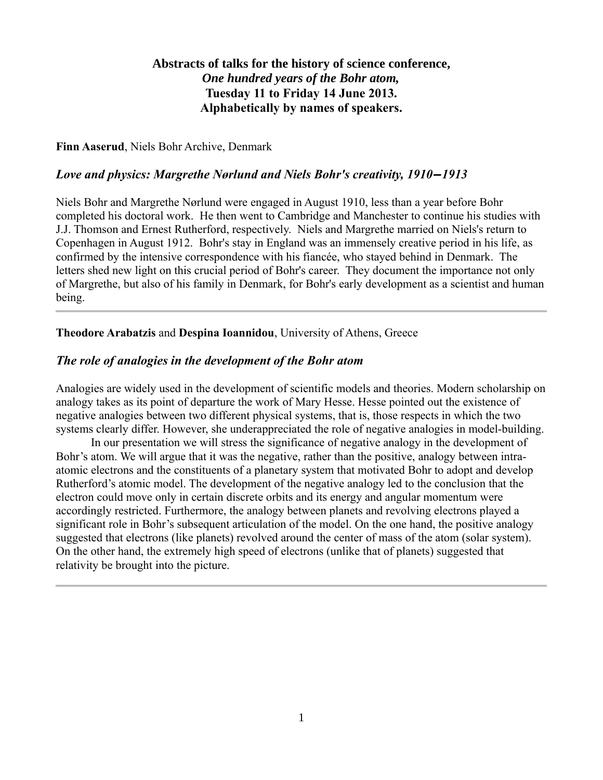## **Abstracts of talks for the history of science conference,** *One hundred years of the Bohr atom,* **Tuesday 11 to Friday 14 June 2013. Alphabetically by names of speakers.**

**Finn Aaserud**, Niels Bohr Archive, Denmark

### *Love and physics: Margrethe Nørlund and Niels Bohr's creativity, 1910‒1913*

Niels Bohr and Margrethe Nørlund were engaged in August 1910, less than a year before Bohr completed his doctoral work. He then went to Cambridge and Manchester to continue his studies with J.J. Thomson and Ernest Rutherford, respectively. Niels and Margrethe married on Niels's return to Copenhagen in August 1912. Bohr's stay in England was an immensely creative period in his life, as confirmed by the intensive correspondence with his fiancée, who stayed behind in Denmark. The letters shed new light on this crucial period of Bohr's career. They document the importance not only of Margrethe, but also of his family in Denmark, for Bohr's early development as a scientist and human being.

**Theodore Arabatzis** and **Despina Ioannidou**, University of Athens, Greece

### *The role of analogies in the development of the Bohr atom*

Analogies are widely used in the development of scientific models and theories. Modern scholarship on analogy takes as its point of departure the work of Mary Hesse. Hesse pointed out the existence of negative analogies between two different physical systems, that is, those respects in which the two systems clearly differ. However, she underappreciated the role of negative analogies in model-building.

In our presentation we will stress the significance of negative analogy in the development of Bohr's atom. We will argue that it was the negative, rather than the positive, analogy between intraatomic electrons and the constituents of a planetary system that motivated Bohr to adopt and develop Rutherford's atomic model. The development of the negative analogy led to the conclusion that the electron could move only in certain discrete orbits and its energy and angular momentum were accordingly restricted. Furthermore, the analogy between planets and revolving electrons played a significant role in Bohr's subsequent articulation of the model. On the one hand, the positive analogy suggested that electrons (like planets) revolved around the center of mass of the atom (solar system). On the other hand, the extremely high speed of electrons (unlike that of planets) suggested that relativity be brought into the picture.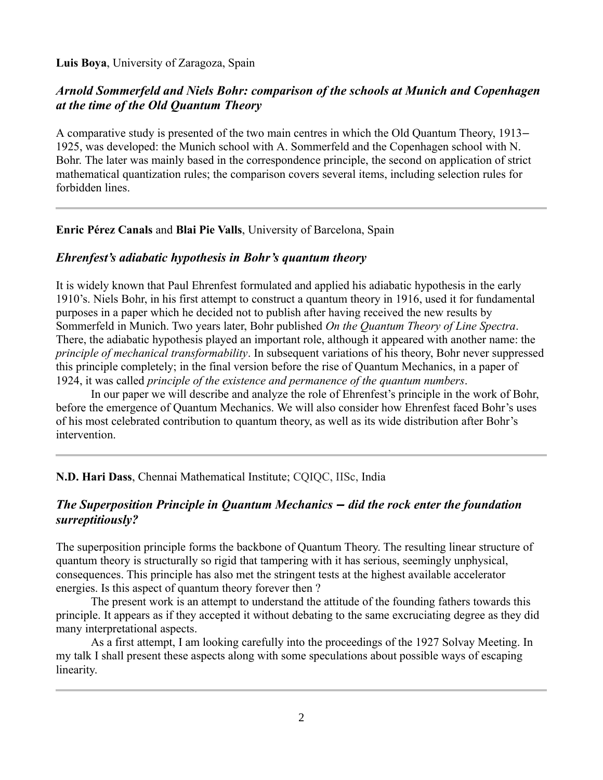#### **Luis Boya**, University of Zaragoza, Spain

## *Arnold Sommerfeld and Niels Bohr: comparison of the schools at Munich and Copenhagen at the time of the Old Quantum Theory*

A comparative study is presented of the two main centres in which the Old Quantum Theory, 1913– 1925, was developed: the Munich school with A. Sommerfeld and the Copenhagen school with N. Bohr. The later was mainly based in the correspondence principle, the second on application of strict mathematical quantization rules; the comparison covers several items, including selection rules for forbidden lines.

#### **Enric Pérez Canals** and **Blai Pie Valls**, University of Barcelona, Spain

#### *Ehrenfest's adiabatic hypothesis in Bohr's quantum theory*

It is widely known that Paul Ehrenfest formulated and applied his adiabatic hypothesis in the early 1910's. Niels Bohr, in his first attempt to construct a quantum theory in 1916, used it for fundamental purposes in a paper which he decided not to publish after having received the new results by Sommerfeld in Munich. Two years later, Bohr published *On the Quantum Theory of Line Spectra*. There, the adiabatic hypothesis played an important role, although it appeared with another name: the *principle of mechanical transformability*. In subsequent variations of his theory, Bohr never suppressed this principle completely; in the final version before the rise of Quantum Mechanics, in a paper of 1924, it was called *principle of the existence and permanence of the quantum numbers*.

In our paper we will describe and analyze the role of Ehrenfest's principle in the work of Bohr, before the emergence of Quantum Mechanics. We will also consider how Ehrenfest faced Bohr's uses of his most celebrated contribution to quantum theory, as well as its wide distribution after Bohr's intervention.

**N.D. Hari Dass**, Chennai Mathematical Institute; CQIQC, IISc, India

## *The Superposition Principle in Quantum Mechanics ‒ did the rock enter the foundation surreptitiously?*

The superposition principle forms the backbone of Quantum Theory. The resulting linear structure of quantum theory is structurally so rigid that tampering with it has serious, seemingly unphysical, consequences. This principle has also met the stringent tests at the highest available accelerator energies. Is this aspect of quantum theory forever then ?

The present work is an attempt to understand the attitude of the founding fathers towards this principle. It appears as if they accepted it without debating to the same excruciating degree as they did many interpretational aspects.

As a first attempt, I am looking carefully into the proceedings of the 1927 Solvay Meeting. In my talk I shall present these aspects along with some speculations about possible ways of escaping linearity.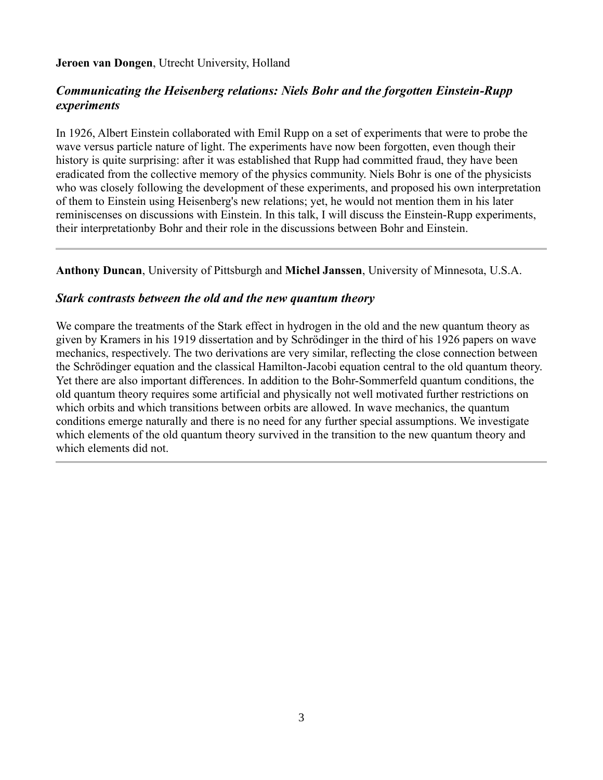#### **Jeroen van Dongen**, Utrecht University, Holland

## *Communicating the Heisenberg relations: Niels Bohr and the forgotten Einstein-Rupp experiments*

In 1926, Albert Einstein collaborated with Emil Rupp on a set of experiments that were to probe the wave versus particle nature of light. The experiments have now been forgotten, even though their history is quite surprising: after it was established that Rupp had committed fraud, they have been eradicated from the collective memory of the physics community. Niels Bohr is one of the physicists who was closely following the development of these experiments, and proposed his own interpretation of them to Einstein using Heisenberg's new relations; yet, he would not mention them in his later reminiscenses on discussions with Einstein. In this talk, I will discuss the Einstein-Rupp experiments, their interpretationby Bohr and their role in the discussions between Bohr and Einstein.

**Anthony Duncan**, University of Pittsburgh and **Michel Janssen**, University of Minnesota, U.S.A.

### *Stark contrasts between the old and the new quantum theory*

We compare the treatments of the Stark effect in hydrogen in the old and the new quantum theory as given by Kramers in his 1919 dissertation and by Schrödinger in the third of his 1926 papers on wave mechanics, respectively. The two derivations are very similar, reflecting the close connection between the Schrödinger equation and the classical Hamilton-Jacobi equation central to the old quantum theory. Yet there are also important differences. In addition to the Bohr-Sommerfeld quantum conditions, the old quantum theory requires some artificial and physically not well motivated further restrictions on which orbits and which transitions between orbits are allowed. In wave mechanics, the quantum conditions emerge naturally and there is no need for any further special assumptions. We investigate which elements of the old quantum theory survived in the transition to the new quantum theory and which elements did not.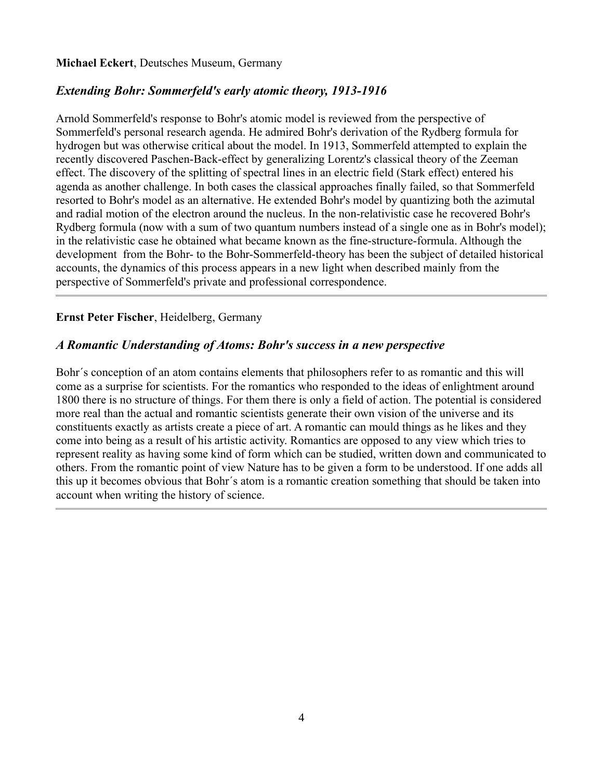# *Extending Bohr: Sommerfeld's early atomic theory, 1913-1916*

Arnold Sommerfeld's response to Bohr's atomic model is reviewed from the perspective of Sommerfeld's personal research agenda. He admired Bohr's derivation of the Rydberg formula for hydrogen but was otherwise critical about the model. In 1913, Sommerfeld attempted to explain the recently discovered Paschen-Back-effect by generalizing Lorentz's classical theory of the Zeeman effect. The discovery of the splitting of spectral lines in an electric field (Stark effect) entered his agenda as another challenge. In both cases the classical approaches finally failed, so that Sommerfeld resorted to Bohr's model as an alternative. He extended Bohr's model by quantizing both the azimutal and radial motion of the electron around the nucleus. In the non-relativistic case he recovered Bohr's Rydberg formula (now with a sum of two quantum numbers instead of a single one as in Bohr's model); in the relativistic case he obtained what became known as the fine-structure-formula. Although the development from the Bohr- to the Bohr-Sommerfeld-theory has been the subject of detailed historical accounts, the dynamics of this process appears in a new light when described mainly from the perspective of Sommerfeld's private and professional correspondence.

## **Ernst Peter Fischer**, Heidelberg, Germany

## *A Romantic Understanding of Atoms: Bohr's success in a new perspective*

Bohr´s conception of an atom contains elements that philosophers refer to as romantic and this will come as a surprise for scientists. For the romantics who responded to the ideas of enlightment around 1800 there is no structure of things. For them there is only a field of action. The potential is considered more real than the actual and romantic scientists generate their own vision of the universe and its constituents exactly as artists create a piece of art. A romantic can mould things as he likes and they come into being as a result of his artistic activity. Romantics are opposed to any view which tries to represent reality as having some kind of form which can be studied, written down and communicated to others. From the romantic point of view Nature has to be given a form to be understood. If one adds all this up it becomes obvious that Bohr´s atom is a romantic creation something that should be taken into account when writing the history of science.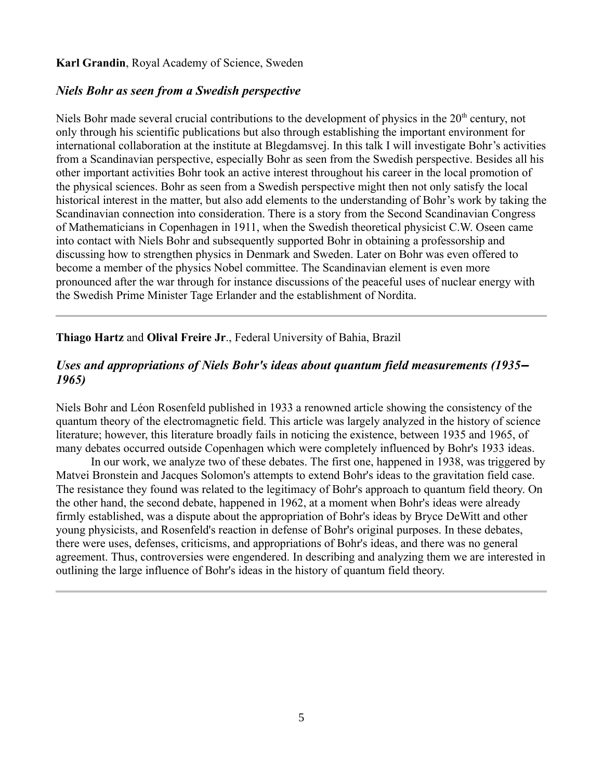#### **Karl Grandin**, Royal Academy of Science, Sweden

## *Niels Bohr as seen from a Swedish perspective*

Niels Bohr made several crucial contributions to the development of physics in the 20<sup>th</sup> century, not only through his scientific publications but also through establishing the important environment for international collaboration at the institute at Blegdamsvej. In this talk I will investigate Bohr's activities from a Scandinavian perspective, especially Bohr as seen from the Swedish perspective. Besides all his other important activities Bohr took an active interest throughout his career in the local promotion of the physical sciences. Bohr as seen from a Swedish perspective might then not only satisfy the local historical interest in the matter, but also add elements to the understanding of Bohr's work by taking the Scandinavian connection into consideration. There is a story from the Second Scandinavian Congress of Mathematicians in Copenhagen in 1911, when the Swedish theoretical physicist C.W. Oseen came into contact with Niels Bohr and subsequently supported Bohr in obtaining a professorship and discussing how to strengthen physics in Denmark and Sweden. Later on Bohr was even offered to become a member of the physics Nobel committee. The Scandinavian element is even more pronounced after the war through for instance discussions of the peaceful uses of nuclear energy with the Swedish Prime Minister Tage Erlander and the establishment of Nordita.

### **Thiago Hartz** and **Olival Freire Jr**., Federal University of Bahia, Brazil

### *Uses and appropriations of Niels Bohr's ideas about quantum field measurements (1935‒ 1965)*

Niels Bohr and Léon Rosenfeld published in 1933 a renowned article showing the consistency of the quantum theory of the electromagnetic field. This article was largely analyzed in the history of science literature; however, this literature broadly fails in noticing the existence, between 1935 and 1965, of many debates occurred outside Copenhagen which were completely influenced by Bohr's 1933 ideas.

In our work, we analyze two of these debates. The first one, happened in 1938, was triggered by Matvei Bronstein and Jacques Solomon's attempts to extend Bohr's ideas to the gravitation field case. The resistance they found was related to the legitimacy of Bohr's approach to quantum field theory. On the other hand, the second debate, happened in 1962, at a moment when Bohr's ideas were already firmly established, was a dispute about the appropriation of Bohr's ideas by Bryce DeWitt and other young physicists, and Rosenfeld's reaction in defense of Bohr's original purposes. In these debates, there were uses, defenses, criticisms, and appropriations of Bohr's ideas, and there was no general agreement. Thus, controversies were engendered. In describing and analyzing them we are interested in outlining the large influence of Bohr's ideas in the history of quantum field theory.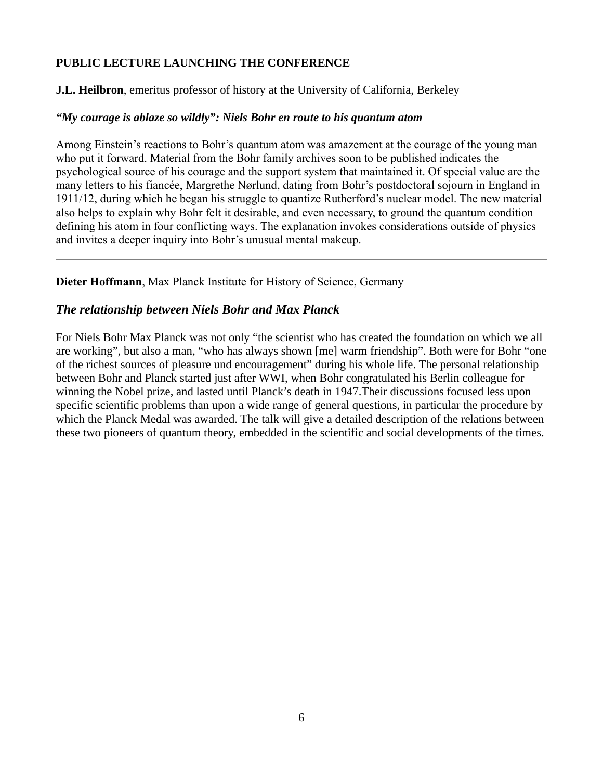### **PUBLIC LECTURE LAUNCHING THE CONFERENCE**

**J.L. Heilbron**, emeritus professor of history at the University of California, Berkeley

### *"My courage is ablaze so wildly": Niels Bohr en route to his quantum atom*

Among Einstein's reactions to Bohr's quantum atom was amazement at the courage of the young man who put it forward. Material from the Bohr family archives soon to be published indicates the psychological source of his courage and the support system that maintained it. Of special value are the many letters to his fiancée, Margrethe Nørlund, dating from Bohr's postdoctoral sojourn in England in 1911/12, during which he began his struggle to quantize Rutherford's nuclear model. The new material also helps to explain why Bohr felt it desirable, and even necessary, to ground the quantum condition defining his atom in four conflicting ways. The explanation invokes considerations outside of physics and invites a deeper inquiry into Bohr's unusual mental makeup.

**Dieter Hoffmann**, Max Planck Institute for History of Science, Germany

## *The relationship between Niels Bohr and Max Planck*

For Niels Bohr Max Planck was not only "the scientist who has created the foundation on which we all are working", but also a man, "who has always shown [me] warm friendship". Both were for Bohr "one of the richest sources of pleasure und encouragement" during his whole life. The personal relationship between Bohr and Planck started just after WWI, when Bohr congratulated his Berlin colleague for winning the Nobel prize, and lasted until Planck's death in 1947.Their discussions focused less upon specific scientific problems than upon a wide range of general questions, in particular the procedure by which the Planck Medal was awarded. The talk will give a detailed description of the relations between these two pioneers of quantum theory, embedded in the scientific and social developments of the times.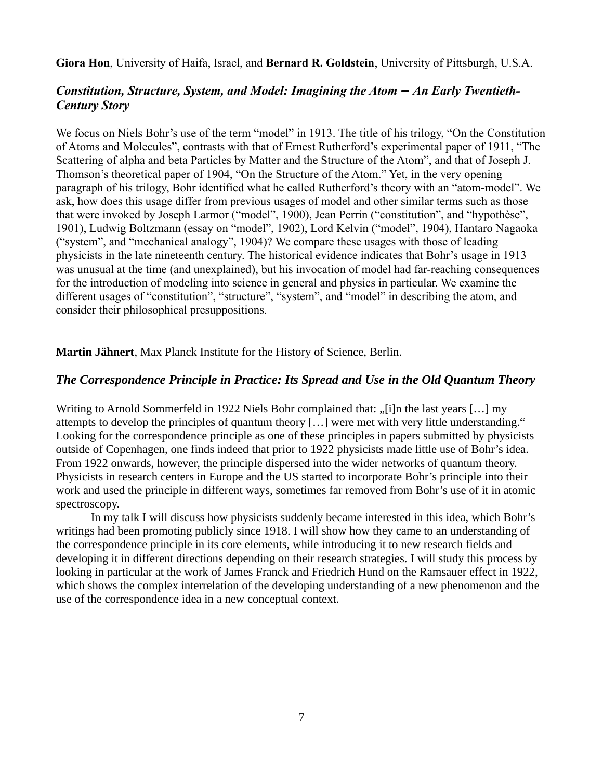**Giora Hon**, University of Haifa, Israel, and **Bernard R. Goldstein**, University of Pittsburgh, U.S.A.

## *Constitution, Structure, System, and Model: Imagining the Atom – An Early Twentieth-Century Story*

We focus on Niels Bohr's use of the term "model" in 1913. The title of his trilogy, "On the Constitution" of Atoms and Molecules", contrasts with that of Ernest Rutherford's experimental paper of 1911, "The Scattering of alpha and beta Particles by Matter and the Structure of the Atom", and that of Joseph J. Thomson's theoretical paper of 1904, "On the Structure of the Atom." Yet, in the very opening paragraph of his trilogy, Bohr identified what he called Rutherford's theory with an "atom-model". We ask, how does this usage differ from previous usages of model and other similar terms such as those that were invoked by Joseph Larmor ("model", 1900), Jean Perrin ("constitution", and "hypothèse", 1901), Ludwig Boltzmann (essay on "model", 1902), Lord Kelvin ("model", 1904), Hantaro Nagaoka ("system", and "mechanical analogy", 1904)? We compare these usages with those of leading physicists in the late nineteenth century. The historical evidence indicates that Bohr's usage in 1913 was unusual at the time (and unexplained), but his invocation of model had far-reaching consequences for the introduction of modeling into science in general and physics in particular. We examine the different usages of "constitution", "structure", "system", and "model" in describing the atom, and consider their philosophical presuppositions.

**Martin Jähnert**, Max Planck Institute for the History of Science, Berlin.

## *The Correspondence Principle in Practice: Its Spread and Use in the Old Quantum Theory*

Writing to Arnold Sommerfeld in 1922 Niels Bohr complained that: "[i]n the last years [...] my attempts to develop the principles of quantum theory […] were met with very little understanding." Looking for the correspondence principle as one of these principles in papers submitted by physicists outside of Copenhagen, one finds indeed that prior to 1922 physicists made little use of Bohr's idea. From 1922 onwards, however, the principle dispersed into the wider networks of quantum theory. Physicists in research centers in Europe and the US started to incorporate Bohr's principle into their work and used the principle in different ways, sometimes far removed from Bohr's use of it in atomic spectroscopy.

In my talk I will discuss how physicists suddenly became interested in this idea, which Bohr's writings had been promoting publicly since 1918. I will show how they came to an understanding of the correspondence principle in its core elements, while introducing it to new research fields and developing it in different directions depending on their research strategies. I will study this process by looking in particular at the work of James Franck and Friedrich Hund on the Ramsauer effect in 1922, which shows the complex interrelation of the developing understanding of a new phenomenon and the use of the correspondence idea in a new conceptual context.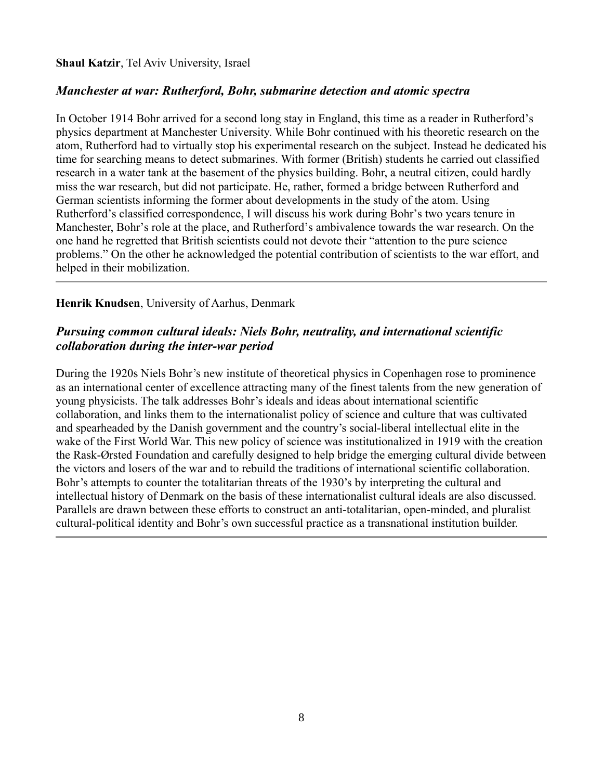#### **Shaul Katzir**, Tel Aviv University, Israel

### *Manchester at war: Rutherford, Bohr, submarine detection and atomic spectra*

In October 1914 Bohr arrived for a second long stay in England, this time as a reader in Rutherford's physics department at Manchester University. While Bohr continued with his theoretic research on the atom, Rutherford had to virtually stop his experimental research on the subject. Instead he dedicated his time for searching means to detect submarines. With former (British) students he carried out classified research in a water tank at the basement of the physics building. Bohr, a neutral citizen, could hardly miss the war research, but did not participate. He, rather, formed a bridge between Rutherford and German scientists informing the former about developments in the study of the atom. Using Rutherford's classified correspondence, I will discuss his work during Bohr's two years tenure in Manchester, Bohr's role at the place, and Rutherford's ambivalence towards the war research. On the one hand he regretted that British scientists could not devote their "attention to the pure science problems." On the other he acknowledged the potential contribution of scientists to the war effort, and helped in their mobilization.

#### **Henrik Knudsen**, University of Aarhus, Denmark

## *Pursuing common cultural ideals: Niels Bohr, neutrality, and international scientific collaboration during the inter-war period*

During the 1920s Niels Bohr's new institute of theoretical physics in Copenhagen rose to prominence as an international center of excellence attracting many of the finest talents from the new generation of young physicists. The talk addresses Bohr's ideals and ideas about international scientific collaboration, and links them to the internationalist policy of science and culture that was cultivated and spearheaded by the Danish government and the country's social-liberal intellectual elite in the wake of the First World War. This new policy of science was institutionalized in 1919 with the creation the Rask-Ørsted Foundation and carefully designed to help bridge the emerging cultural divide between the victors and losers of the war and to rebuild the traditions of international scientific collaboration. Bohr's attempts to counter the totalitarian threats of the 1930's by interpreting the cultural and intellectual history of Denmark on the basis of these internationalist cultural ideals are also discussed. Parallels are drawn between these efforts to construct an anti-totalitarian, open-minded, and pluralist cultural-political identity and Bohr's own successful practice as a transnational institution builder.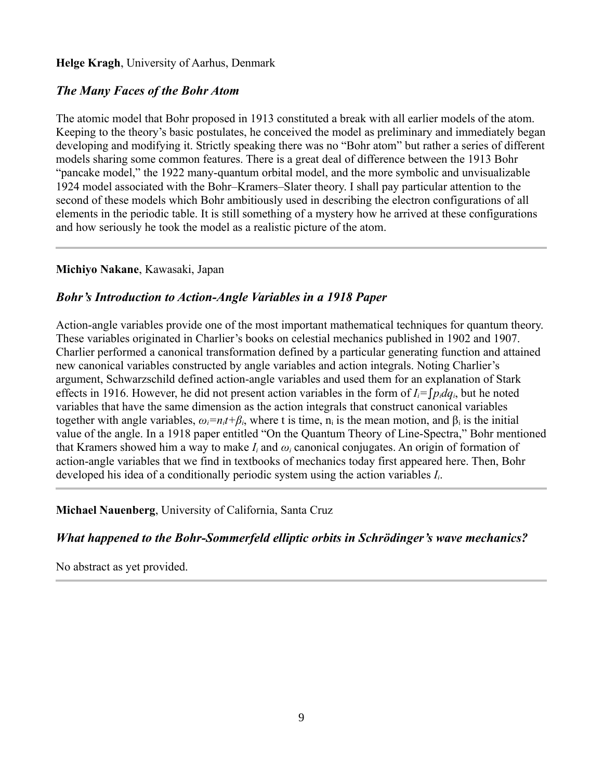#### **Helge Kragh**, University of Aarhus, Denmark

## *The Many Faces of the Bohr Atom*

The atomic model that Bohr proposed in 1913 constituted a break with all earlier models of the atom. Keeping to the theory's basic postulates, he conceived the model as preliminary and immediately began developing and modifying it. Strictly speaking there was no "Bohr atom" but rather a series of different models sharing some common features. There is a great deal of difference between the 1913 Bohr "pancake model," the 1922 many-quantum orbital model, and the more symbolic and unvisualizable 1924 model associated with the Bohr–Kramers–Slater theory. I shall pay particular attention to the second of these models which Bohr ambitiously used in describing the electron configurations of all elements in the periodic table. It is still something of a mystery how he arrived at these configurations and how seriously he took the model as a realistic picture of the atom.

#### **Michiyo Nakane**, Kawasaki, Japan

### *Bohr's Introduction to Action-Angle Variables in a 1918 Paper*

Action-angle variables provide one of the most important mathematical techniques for quantum theory. These variables originated in Charlier's books on celestial mechanics published in 1902 and 1907. Charlier performed a canonical transformation defined by a particular generating function and attained new canonical variables constructed by angle variables and action integrals. Noting Charlier's argument, Schwarzschild defined action-angle variables and used them for an explanation of Stark effects in 1916. However, he did not present action variables in the form of  $I_i = \int p_i dq_i$ , but he noted variables that have the same dimension as the action integrals that construct canonical variables together with angle variables,  $\omega_i = n_i t + \beta_i$ , where t is time,  $n_i$  is the mean motion, and  $\beta_i$  is the initial value of the angle. In a 1918 paper entitled "On the Quantum Theory of Line-Spectra," Bohr mentioned that Kramers showed him a way to make  $I_i$  and  $\omega_i$  canonical conjugates. An origin of formation of action-angle variables that we find in textbooks of mechanics today first appeared here. Then, Bohr developed his idea of a conditionally periodic system using the action variables *Ii*.

**Michael Nauenberg**, University of California, Santa Cruz

*What happened to the Bohr-Sommerfeld elliptic orbits in Schrödinger's wave mechanics?*

No abstract as yet provided.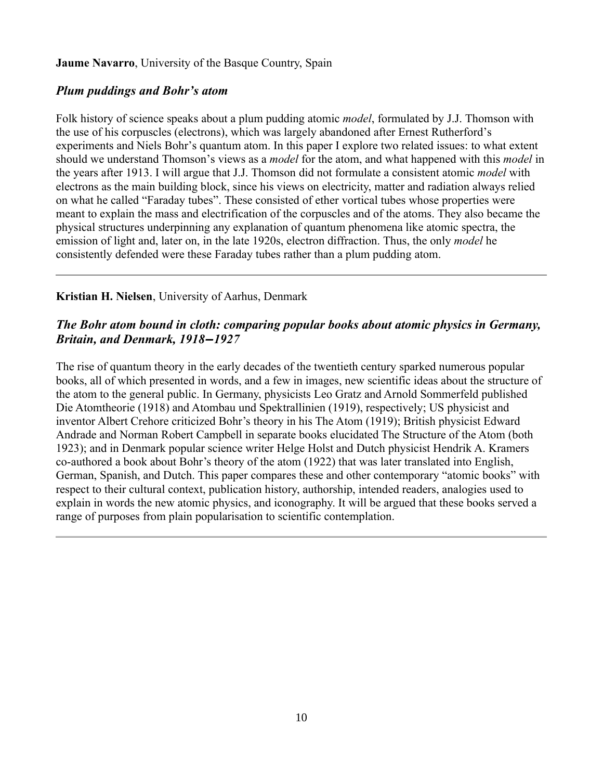**Jaume Navarro**, University of the Basque Country, Spain

## *Plum puddings and Bohr's atom*

Folk history of science speaks about a plum pudding atomic *model*, formulated by J.J. Thomson with the use of his corpuscles (electrons), which was largely abandoned after Ernest Rutherford's experiments and Niels Bohr's quantum atom. In this paper I explore two related issues: to what extent should we understand Thomson's views as a *model* for the atom, and what happened with this *model* in the years after 1913. I will argue that J.J. Thomson did not formulate a consistent atomic *model* with electrons as the main building block, since his views on electricity, matter and radiation always relied on what he called "Faraday tubes". These consisted of ether vortical tubes whose properties were meant to explain the mass and electrification of the corpuscles and of the atoms. They also became the physical structures underpinning any explanation of quantum phenomena like atomic spectra, the emission of light and, later on, in the late 1920s, electron diffraction. Thus, the only *model* he consistently defended were these Faraday tubes rather than a plum pudding atom.

## **Kristian H. Nielsen**, University of Aarhus, Denmark

## *The Bohr atom bound in cloth: comparing popular books about atomic physics in Germany, Britain, and Denmark, 1918‒1927*

The rise of quantum theory in the early decades of the twentieth century sparked numerous popular books, all of which presented in words, and a few in images, new scientific ideas about the structure of the atom to the general public. In Germany, physicists Leo Gratz and Arnold Sommerfeld published Die Atomtheorie (1918) and Atombau und Spektrallinien (1919), respectively; US physicist and inventor Albert Crehore criticized Bohr's theory in his The Atom (1919); British physicist Edward Andrade and Norman Robert Campbell in separate books elucidated The Structure of the Atom (both 1923); and in Denmark popular science writer Helge Holst and Dutch physicist Hendrik A. Kramers co-authored a book about Bohr's theory of the atom (1922) that was later translated into English, German, Spanish, and Dutch. This paper compares these and other contemporary "atomic books" with respect to their cultural context, publication history, authorship, intended readers, analogies used to explain in words the new atomic physics, and iconography. It will be argued that these books served a range of purposes from plain popularisation to scientific contemplation.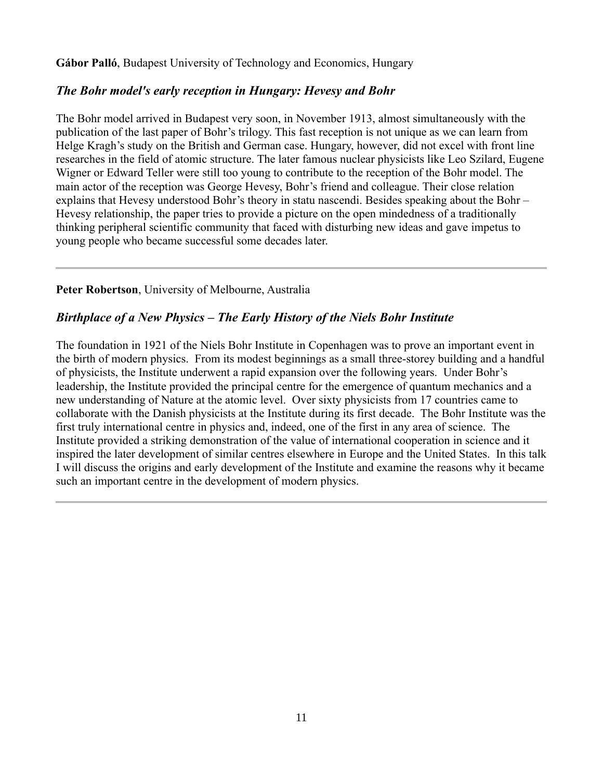**Gábor Palló**, Budapest University of Technology and Economics, Hungary

## *The Bohr model's early reception in Hungary: Hevesy and Bohr*

The Bohr model arrived in Budapest very soon, in November 1913, almost simultaneously with the publication of the last paper of Bohr's trilogy. This fast reception is not unique as we can learn from Helge Kragh's study on the British and German case. Hungary, however, did not excel with front line researches in the field of atomic structure. The later famous nuclear physicists like Leo Szilard, Eugene Wigner or Edward Teller were still too young to contribute to the reception of the Bohr model. The main actor of the reception was George Hevesy, Bohr's friend and colleague. Their close relation explains that Hevesy understood Bohr's theory in statu nascendi. Besides speaking about the Bohr – Hevesy relationship, the paper tries to provide a picture on the open mindedness of a traditionally thinking peripheral scientific community that faced with disturbing new ideas and gave impetus to young people who became successful some decades later.

### **Peter Robertson**, University of Melbourne, Australia

## *Birthplace of a New Physics – The Early History of the Niels Bohr Institute*

The foundation in 1921 of the Niels Bohr Institute in Copenhagen was to prove an important event in the birth of modern physics. From its modest beginnings as a small three-storey building and a handful of physicists, the Institute underwent a rapid expansion over the following years. Under Bohr's leadership, the Institute provided the principal centre for the emergence of quantum mechanics and a new understanding of Nature at the atomic level. Over sixty physicists from 17 countries came to collaborate with the Danish physicists at the Institute during its first decade. The Bohr Institute was the first truly international centre in physics and, indeed, one of the first in any area of science. The Institute provided a striking demonstration of the value of international cooperation in science and it inspired the later development of similar centres elsewhere in Europe and the United States. In this talk I will discuss the origins and early development of the Institute and examine the reasons why it became such an important centre in the development of modern physics.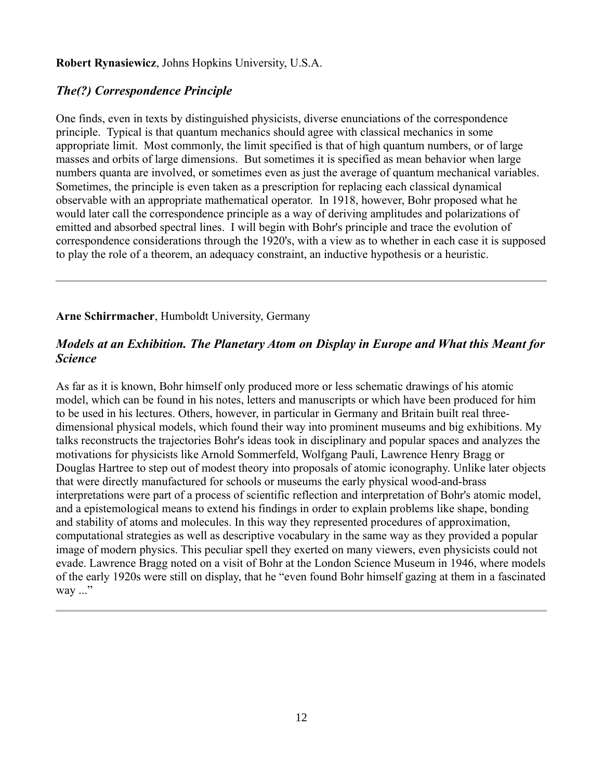#### **Robert Rynasiewicz**, Johns Hopkins University, U.S.A.

## *The(?) Correspondence Principle*

One finds, even in texts by distinguished physicists, diverse enunciations of the correspondence principle. Typical is that quantum mechanics should agree with classical mechanics in some appropriate limit. Most commonly, the limit specified is that of high quantum numbers, or of large masses and orbits of large dimensions. But sometimes it is specified as mean behavior when large numbers quanta are involved, or sometimes even as just the average of quantum mechanical variables. Sometimes, the principle is even taken as a prescription for replacing each classical dynamical observable with an appropriate mathematical operator. In 1918, however, Bohr proposed what he would later call the correspondence principle as a way of deriving amplitudes and polarizations of emitted and absorbed spectral lines. I will begin with Bohr's principle and trace the evolution of correspondence considerations through the 1920's, with a view as to whether in each case it is supposed to play the role of a theorem, an adequacy constraint, an inductive hypothesis or a heuristic.

### **Arne Schirrmacher**, Humboldt University, Germany

## *Models at an Exhibition. The Planetary Atom on Display in Europe and What this Meant for Science*

As far as it is known, Bohr himself only produced more or less schematic drawings of his atomic model, which can be found in his notes, letters and manuscripts or which have been produced for him to be used in his lectures. Others, however, in particular in Germany and Britain built real threedimensional physical models, which found their way into prominent museums and big exhibitions. My talks reconstructs the trajectories Bohr's ideas took in disciplinary and popular spaces and analyzes the motivations for physicists like Arnold Sommerfeld, Wolfgang Pauli, Lawrence Henry Bragg or Douglas Hartree to step out of modest theory into proposals of atomic iconography. Unlike later objects that were directly manufactured for schools or museums the early physical wood-and-brass interpretations were part of a process of scientific reflection and interpretation of Bohr's atomic model, and a epistemological means to extend his findings in order to explain problems like shape, bonding and stability of atoms and molecules. In this way they represented procedures of approximation, computational strategies as well as descriptive vocabulary in the same way as they provided a popular image of modern physics. This peculiar spell they exerted on many viewers, even physicists could not evade. Lawrence Bragg noted on a visit of Bohr at the London Science Museum in 1946, where models of the early 1920s were still on display, that he "even found Bohr himself gazing at them in a fascinated way  $\ldots$ "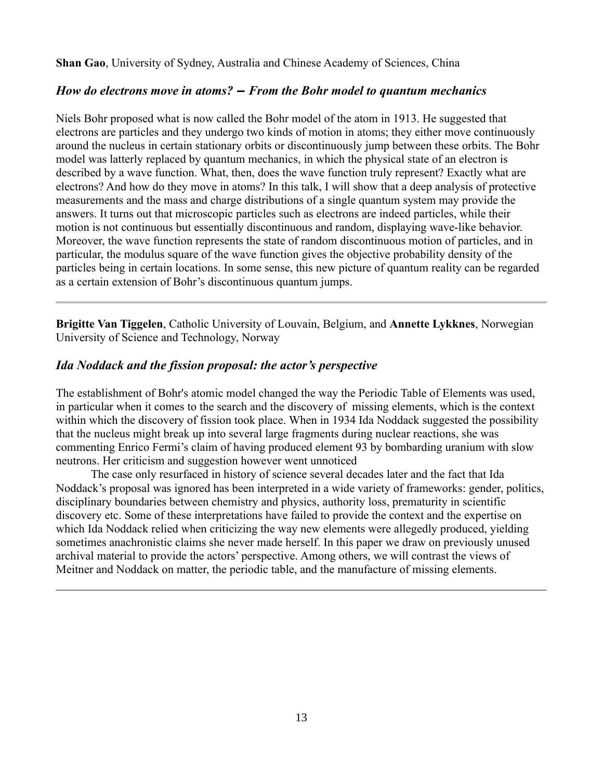**Shan Gao**, University of Sydney, Australia and Chinese Academy of Sciences, China

#### *How do electrons move in atoms? ‒ From the Bohr model to quantum mechanics*

Niels Bohr proposed what is now called the Bohr model of the atom in 1913. He suggested that electrons are particles and they undergo two kinds of motion in atoms; they either move continuously around the nucleus in certain stationary orbits or discontinuously jump between these orbits. The Bohr model was latterly replaced by quantum mechanics, in which the physical state of an electron is described by a wave function. What, then, does the wave function truly represent? Exactly what are electrons? And how do they move in atoms? In this talk, I will show that a deep analysis of protective measurements and the mass and charge distributions of a single quantum system may provide the answers. It turns out that microscopic particles such as electrons are indeed particles, while their motion is not continuous but essentially discontinuous and random, displaying wave-like behavior. Moreover, the wave function represents the state of random discontinuous motion of particles, and in particular, the modulus square of the wave function gives the objective probability density of the particles being in certain locations. In some sense, this new picture of quantum reality can be regarded as a certain extension of Bohr's discontinuous quantum jumps.

**Brigitte Van Tiggelen**, Catholic University of Louvain, Belgium, and **Annette Lykknes**, Norwegian University of Science and Technology, Norway

#### *Ida Noddack and the fission proposal: the actor's perspective*

The establishment of Bohr's atomic model changed the way the Periodic Table of Elements was used, in particular when it comes to the search and the discovery of missing elements, which is the context within which the discovery of fission took place. When in 1934 Ida Noddack suggested the possibility that the nucleus might break up into several large fragments during nuclear reactions, she was commenting Enrico Fermi's claim of having produced element 93 by bombarding uranium with slow neutrons. Her criticism and suggestion however went unnoticed

The case only resurfaced in history of science several decades later and the fact that Ida Noddack's proposal was ignored has been interpreted in a wide variety of frameworks: gender, politics, disciplinary boundaries between chemistry and physics, authority loss, prematurity in scientific discovery etc. Some of these interpretations have failed to provide the context and the expertise on which Ida Noddack relied when criticizing the way new elements were allegedly produced, yielding sometimes anachronistic claims she never made herself. In this paper we draw on previously unused archival material to provide the actors' perspective. Among others, we will contrast the views of Meitner and Noddack on matter, the periodic table, and the manufacture of missing elements.